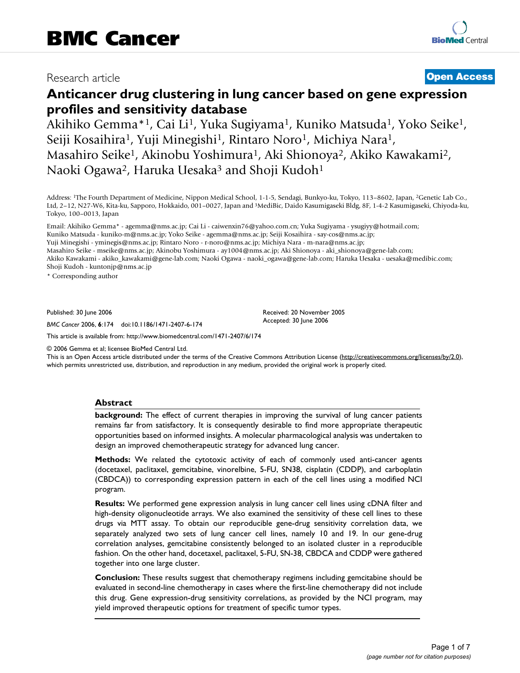# Research article **[Open Access](http://www.biomedcentral.com/info/about/charter/)**

# **Anticancer drug clustering in lung cancer based on gene expression profiles and sensitivity database**

Akihiko Gemma<sup>\*1</sup>, Cai Li<sup>1</sup>, Yuka Sugiyama<sup>1</sup>, Kuniko Matsuda<sup>1</sup>, Yoko Seike<sup>1</sup>, Seiji Kosaihira<sup>1</sup>, Yuji Minegishi<sup>1</sup>, Rintaro Noro<sup>1</sup>, Michiya Nara<sup>1</sup>, Masahiro Seike1, Akinobu Yoshimura1, Aki Shionoya2, Akiko Kawakami2, Naoki Ogawa<sup>2</sup>, Haruka Uesaka<sup>3</sup> and Shoji Kudoh<sup>1</sup>

Address: 1The Fourth Department of Medicine, Nippon Medical School, 1-1-5, Sendagi, Bunkyo-ku, Tokyo, 113–8602, Japan, 2Genetic Lab Co., Ltd, 2–12, N27-W6, Kita-ku, Sapporo, Hokkaido, 001–0027, Japan and 3MediBic, Daido Kasumigaseki Bldg, 8F, 1-4-2 Kasumigaseki, Chiyoda-ku, Tokyo, 100–0013, Japan

Email: Akihiko Gemma\* - agemma@nms.ac.jp; Cai Li - caiwenxin76@yahoo.com.cn; Yuka Sugiyama - ysugiyy@hotmail.com; Kuniko Matsuda - kuniko-m@nms.ac.jp; Yoko Seike - agemma@nms.ac.jp; Seiji Kosaihira - say-cos@nms.ac.jp; Yuji Minegishi - yminegis@nms.ac.jp; Rintaro Noro - r-noro@nms.ac.jp; Michiya Nara - m-nara@nms.ac.jp; Masahiro Seike - mseike@nms.ac.jp; Akinobu Yoshimura - ay1004@nms.ac.jp; Aki Shionoya - aki\_shionoya@gene-lab.com; Akiko Kawakami - akiko\_kawakami@gene-lab.com; Naoki Ogawa - naoki\_ogawa@gene-lab.com; Haruka Uesaka - uesaka@medibic.com; Shoji Kudoh - kuntonjp@nms.ac.jp

\* Corresponding author

Published: 30 June 2006

*BMC Cancer* 2006, **6**:174 doi:10.1186/1471-2407-6-174

Received: 20 November 2005 Accepted: 30 June 2006

[This article is available from: http://www.biomedcentral.com/1471-2407/6/174](http://www.biomedcentral.com/1471-2407/6/174)

© 2006 Gemma et al; licensee BioMed Central Ltd.

This is an Open Access article distributed under the terms of the Creative Commons Attribution License [\(http://creativecommons.org/licenses/by/2.0\)](http://creativecommons.org/licenses/by/2.0), which permits unrestricted use, distribution, and reproduction in any medium, provided the original work is properly cited.

# **Abstract**

**background:** The effect of current therapies in improving the survival of lung cancer patients remains far from satisfactory. It is consequently desirable to find more appropriate therapeutic opportunities based on informed insights. A molecular pharmacological analysis was undertaken to design an improved chemotherapeutic strategy for advanced lung cancer.

**Methods:** We related the cytotoxic activity of each of commonly used anti-cancer agents (docetaxel, paclitaxel, gemcitabine, vinorelbine, 5-FU, SN38, cisplatin (CDDP), and carboplatin (CBDCA)) to corresponding expression pattern in each of the cell lines using a modified NCI program.

**Results:** We performed gene expression analysis in lung cancer cell lines using cDNA filter and high-density oligonucleotide arrays. We also examined the sensitivity of these cell lines to these drugs via MTT assay. To obtain our reproducible gene-drug sensitivity correlation data, we separately analyzed two sets of lung cancer cell lines, namely 10 and 19. In our gene-drug correlation analyses, gemcitabine consistently belonged to an isolated cluster in a reproducible fashion. On the other hand, docetaxel, paclitaxel, 5-FU, SN-38, CBDCA and CDDP were gathered together into one large cluster.

**Conclusion:** These results suggest that chemotherapy regimens including gemcitabine should be evaluated in second-line chemotherapy in cases where the first-line chemotherapy did not include this drug. Gene expression-drug sensitivity correlations, as provided by the NCI program, may yield improved therapeutic options for treatment of specific tumor types.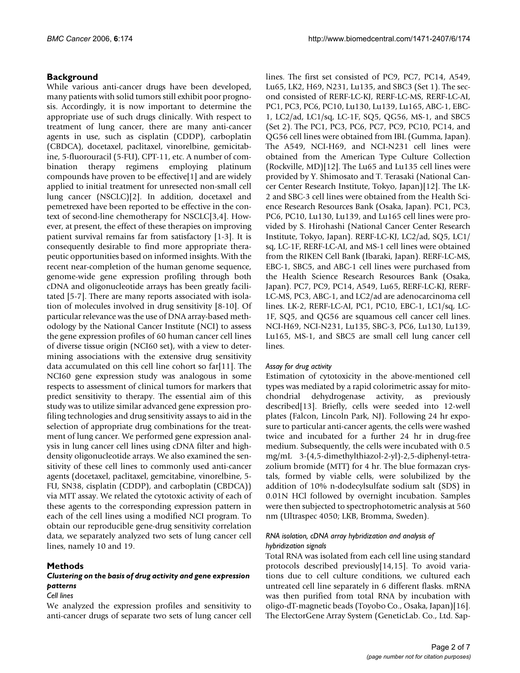# **Background**

While various anti-cancer drugs have been developed, many patients with solid tumors still exhibit poor prognosis. Accordingly, it is now important to determine the appropriate use of such drugs clinically. With respect to treatment of lung cancer, there are many anti-cancer agents in use, such as cisplatin (CDDP), carboplatin (CBDCA), docetaxel, paclitaxel, vinorelbine, gemicitabine, 5-fluorouracil (5-FU), CPT-11, etc. A number of combination therapy regimens employing platinum compounds have proven to be effective[1] and are widely applied to initial treatment for unresected non-small cell lung cancer (NSCLC)[2]. In addition, docetaxel and pemetrexed have been reported to be effective in the context of second-line chemotherapy for NSCLC[3,4]. However, at present, the effect of these therapies on improving patient survival remains far from satisfactory [1-3]. It is consequently desirable to find more appropriate therapeutic opportunities based on informed insights. With the recent near-completion of the human genome sequence, genome-wide gene expression profiling through both cDNA and oligonucleotide arrays has been greatly facilitated [5-7]. There are many reports associated with isolation of molecules involved in drug sensitivity [8-10]. Of particular relevance was the use of DNA array-based methodology by the National Cancer Institute (NCI) to assess the gene expression profiles of 60 human cancer cell lines of diverse tissue origin (NCI60 set), with a view to determining associations with the extensive drug sensitivity data accumulated on this cell line cohort so far[11]. The NCI60 gene expression study was analogous in some respects to assessment of clinical tumors for markers that predict sensitivity to therapy. The essential aim of this study was to utilize similar advanced gene expression profiling technologies and drug sensitivity assays to aid in the selection of appropriate drug combinations for the treatment of lung cancer. We performed gene expression analysis in lung cancer cell lines using cDNA filter and highdensity oligonucleotide arrays. We also examined the sensitivity of these cell lines to commonly used anti-cancer agents (docetaxel, paclitaxel, gemcitabine, vinorelbine, 5- FU, SN38, cisplatin (CDDP), and carboplatin (CBDCA)) via MTT assay. We related the cytotoxic activity of each of these agents to the corresponding expression pattern in each of the cell lines using a modified NCI program. To obtain our reproducible gene-drug sensitivity correlation data, we separately analyzed two sets of lung cancer cell lines, namely 10 and 19.

# **Methods**

# *Clustering on the basis of drug activity and gene expression patterns*

### *Cell lines*

We analyzed the expression profiles and sensitivity to anti-cancer drugs of separate two sets of lung cancer cell lines. The first set consisted of PC9, PC7, PC14, A549, Lu65, LK2, H69, N231, Lu135, and SBC3 (Set 1). The second consisted of RERF-LC-KJ, RERF-LC-MS, RERF-LC-AI, PC1, PC3, PC6, PC10, Lu130, Lu139, Lu165, ABC-1, EBC-1, LC2/ad, LC1/sq, LC-1F, SQ5, QG56, MS-1, and SBC5 (Set 2). The PC1, PC3, PC6, PC7, PC9, PC10, PC14, and QG56 cell lines were obtained from IBL (Gumma, Japan). The A549, NCI-H69, and NCI-N231 cell lines were obtained from the American Type Culture Collection (Rockville, MD)[12]. The Lu65 and Lu135 cell lines were provided by Y. Shimosato and T. Terasaki (National Cancer Center Research Institute, Tokyo, Japan)[12]. The LK-2 and SBC-3 cell lines were obtained from the Health Science Research Resources Bank (Osaka, Japan). PC1, PC3, PC6, PC10, Lu130, Lu139, and Lu165 cell lines were provided by S. Hirohashi (National Cancer Center Research Institute, Tokyo, Japan). RERF-LC-KJ, LC2/ad, SQ5, LC1/ sq, LC-1F, RERF-LC-AI, and MS-1 cell lines were obtained from the RIKEN Cell Bank (Ibaraki, Japan). RERF-LC-MS, EBC-1, SBC5, and ABC-1 cell lines were purchased from the Health Science Research Resources Bank (Osaka, Japan). PC7, PC9, PC14, A549, Lu65, RERF-LC-KJ, RERF-LC-MS, PC3, ABC-1, and LC2/ad are adenocarcinoma cell lines. LK-2, RERF-LC-AI, PC1, PC10, EBC-1, LC1/sq, LC-1F, SQ5, and QG56 are squamous cell cancer cell lines. NCI-H69, NCI-N231, Lu135, SBC-3, PC6, Lu130, Lu139, Lu165, MS-1, and SBC5 are small cell lung cancer cell lines.

# *Assay for drug activity*

Estimation of cytotoxicity in the above-mentioned cell types was mediated by a rapid colorimetric assay for mitochondrial dehydrogenase activity, as previously described[13]. Briefly, cells were seeded into 12-well plates (Falcon, Lincoln Park, NJ). Following 24 hr exposure to particular anti-cancer agents, the cells were washed twice and incubated for a further 24 hr in drug-free medium. Subsequently, the cells were incubated with 0.5 mg/mL 3-(4,5-dimethylthiazol-2-yl)-2,5-diphenyl-tetrazolium bromide (MTT) for 4 hr. The blue formazan crystals, formed by viable cells, were solubilized by the addition of 10% n-dodecylsulfate sodium salt (SDS) in 0.01N HCl followed by overnight incubation. Samples were then subjected to spectrophotometric analysis at 560 nm (Ultraspec 4050; LKB, Bromma, Sweden).

### *RNA isolation, cDNA array hybridization and analysis of hybridization signals*

Total RNA was isolated from each cell line using standard protocols described previously[14,15]. To avoid variations due to cell culture conditions, we cultured each untreated cell line separately in 6 different flasks. mRNA was then purified from total RNA by incubation with oligo-dT-magnetic beads (Toyobo Co., Osaka, Japan)[16]. The ElectorGene Array System (GeneticLab. Co., Ltd. Sap-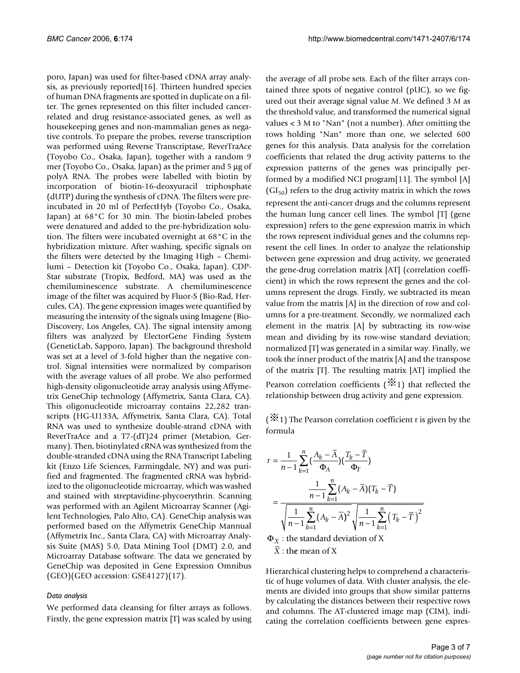poro, Japan) was used for filter-based cDNA array analysis, as previously reported[16]. Thirteen hundred species of human DNA fragments are spotted in duplicate on a filter. The genes represented on this filter included cancerrelated and drug resistance-associated genes, as well as housekeeping genes and non-mammalian genes as negative controls. To prepare the probes, reverse transcription was performed using Reverse Transcriptase, ReverTraAce (Toyobo Co., Osaka, Japan), together with a random 9 mer (Toyobo Co., Osaka, Japan) as the primer and 5 μg of polyA RNA. The probes were labelled with biotin by incorporation of biotin-16-deoxyuracil triphosphate (dUTP) during the synthesis of cDNA. The filters were preincubated in 20 ml of PerfectHyb (Toyobo Co., Osaka, Japan) at 68°C for 30 min. The biotin-labeled probes were denatured and added to the pre-hybridization solution. The filters were incubated overnight at 68°C in the hybridization mixture. After washing, specific signals on the filters were detected by the Imaging High – Chemilumi – Detection kit (Toyobo Co., Osaka, Japan). CDP-Star substrate (Tropix, Bedford, MA) was used as the chemiluminescence substrate. A chemiluminescence image of the filter was acquired by Fluor-S (Bio-Rad, Hercules, CA). The gene expression images were quantified by measuring the intensity of the signals using Imagene (Bio-Discovery, Los Angeles, CA). The signal intensity among filters was analyzed by ElectorGene Finding System (GeneticLab, Sapporo, Japan). The background threshold was set at a level of 3-fold higher than the negative control. Signal intensities were normalized by comparison with the average values of all probe. We also performed high-density oligonucleotide array analysis using Affymetrix GeneChip technology (Affymetrix, Santa Clara, CA). This oligonucleotide microarray contains 22,282 transcripts (HG-U133A, Affymetrix, Santa Clara, CA). Total RNA was used to synthesize double-strand cDNA with ReverTraAce and a T7-(dT)24 primer (Metabion, Germany). Then, biotinylated cRNA was synthesized from the double-stranded cDNA using the RNA Transcript Labeling kit (Enzo Life Sciences, Farmingdale, NY) and was purified and fragmented. The fragmented cRNA was hybridized to the oligonucleotide microarray, which was washed and stained with streptavidine-phycoerythrin. Scanning was performed with an Agilent Microarray Scanner (Agilent Technologies, Palo Alto, CA). GeneChip analysis was performed based on the Affymetrix GeneChip Mannual (Affymetrix Inc., Santa Clara, CA) with Microarray Analysis Suite (MAS) 5.0, Data Mining Tool (DMT) 2.0, and Microarray Database software. The data we generated by GeneChip was deposited in Gene Expression Omnibus (GEO)(GEO accession: GSE4127)(17).

### *Data analysis*

We performed data cleansing for filter arrays as follows. Firstly, the gene expression matrix [T] was scaled by using the average of all probe sets. Each of the filter arrays contained three spots of negative control (pUC), so we figured out their average signal value *M*. We defined 3 *M* as the threshold value, and transformed the numerical signal values < 3 M to "Nan" (not a number). After omitting the rows holding "Nan" more than one, we selected 600 genes for this analysis. Data analysis for the correlation coefficients that related the drug activity patterns to the expression patterns of the genes was principally performed by a modified NCI program[11]. The symbol [A]  $(GI_{50})$  refers to the drug activity matrix in which the rows represent the anti-cancer drugs and the columns represent the human lung cancer cell lines. The symbol [T] (gene expression) refers to the gene expression matrix in which the rows represent individual genes and the columns represent the cell lines. In order to analyze the relationship between gene expression and drug activity, we generated the gene-drug correlation matrix [AT] (correlation coefficient) in which the rows represent the genes and the columns represent the drugs. Firstly, we subtracted its mean value from the matrix [A] in the direction of row and columns for a pre-treatment. Secondly, we normalized each element in the matrix [A] by subtracting its row-wise mean and dividing by its row-wise standard deviation; normalized [T] was generated in a similar way. Finally, we took the inner product of the matrix [A] and the transpose of the matrix [T]. The resulting matrix [AT] implied the Pearson correlation coefficients ( $\ddot{X}$ 1) that reflected the relationship between drug activity and gene expression.

 $(\mathcal{X}_1)$  The Pearson correlation coefficient r is given by the formula

$$
r = \frac{1}{n-1} \sum_{k=1}^{n} \left(\frac{A_k - \overline{A}}{\Phi_A}\right) \left(\frac{T_k - \overline{T}}{\Phi_T}\right)
$$
  
= 
$$
\frac{\frac{1}{n-1} \sum_{k=1}^{n} (A_k - \overline{A})(T_k - \overline{T})}{\sqrt{\frac{1}{n-1} \sum_{k=1}^{n} (A_k - \overline{A})^2} \sqrt{\frac{1}{n-1} \sum_{k=1}^{n} (T_k - \overline{T})^2}}
$$

 $\Phi_X$  : the standard deviation of X : *X* the mean of X

Hierarchical clustering helps to comprehend a characteristic of huge volumes of data. With cluster analysis, the elements are divided into groups that show similar patterns by calculating the distances between their respective rows and columns. The AT-clustered image map (CIM), indicating the correlation coefficients between gene expres-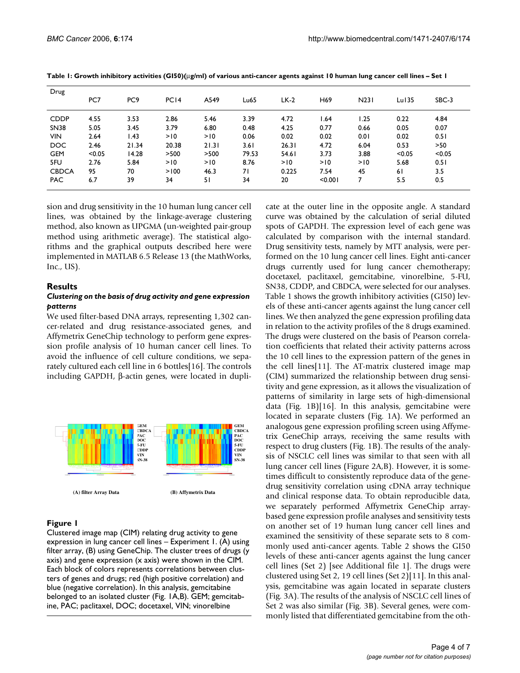| Drug         |        |                 |                  |       |       |        |                 |                  |          |        |
|--------------|--------|-----------------|------------------|-------|-------|--------|-----------------|------------------|----------|--------|
|              | PC7    | PC <sub>9</sub> | PC <sub>14</sub> | A549  | Lu65  | $LK-2$ | H <sub>69</sub> | N <sub>231</sub> | $Lu$ 135 | SBC-3  |
| <b>CDDP</b>  | 4.55   | 3.53            | 2.86             | 5.46  | 3.39  | 4.72   | l.64            | 1.25             | 0.22     | 4.84   |
| <b>SN38</b>  | 5.05   | 3.45            | 3.79             | 6.80  | 0.48  | 4.25   | 0.77            | 0.66             | 0.05     | 0.07   |
| <b>VIN</b>   | 2.64   | l.43            | >10              | >10   | 0.06  | 0.02   | 0.02            | 0.01             | 0.02     | 0.51   |
| <b>DOC</b>   | 2.46   | 21.34           | 20.38            | 21.31 | 3.61  | 26.31  | 4.72            | 6.04             | 0.53     | >50    |
| <b>GEM</b>   | < 0.05 | 14.28           | >500             | >500  | 79.53 | 54.61  | 3.73            | 3.88             | < 0.05   | < 0.05 |
| 5FU          | 2.76   | 5.84            | >10              | >10   | 8.76  | >10    | >10             | >10              | 5.68     | 0.51   |
| <b>CBDCA</b> | 95     | 70              | >100             | 46.3  | 71    | 0.225  | 7.54            | 45               | 61       | 3.5    |
| <b>PAC</b>   | 6.7    | 39              | 34               | 51    | 34    | 20     | < 0.001         | 7                | 5.5      | 0.5    |

**Table 1: Growth inhibitory activities (GI50)(**μ**g/ml) of various anti-cancer agents against 10 human lung cancer cell lines – Set 1**

sion and drug sensitivity in the 10 human lung cancer cell lines, was obtained by the linkage-average clustering method, also known as UPGMA (un-weighted pair-group method using arithmetic average). The statistical algorithms and the graphical outputs described here were implemented in MATLAB 6.5 Release 13 (the MathWorks, Inc., US).

# **Results**

### *Clustering on the basis of drug activity and gene expression patterns*

We used filter-based DNA arrays, representing 1,302 cancer-related and drug resistance-associated genes, and Affymetrix GeneChip technology to perform gene expression profile analysis of 10 human cancer cell lines. To avoid the influence of cell culture conditions, we separately cultured each cell line in 6 bottles[16]. The controls including GAPDH, β-actin genes, were located in dupli-



# Figure 1

Clustered image map (CIM) relating drug activity to gene expression in lung cancer cell lines – Experiment 1. (A) using filter array, (B) using GeneChip. The cluster trees of drugs (y axis) and gene expression (x axis) were shown in the CIM. Each block of colors represents correlations between clusters of genes and drugs; red (high positive correlation) and blue (negative correlation). In this analysis, gemcitabine belonged to an isolated cluster (Fig. 1A,B). GEM; gemcitabine, PAC; paclitaxel, DOC; docetaxel, VIN; vinorelbine

cate at the outer line in the opposite angle. A standard curve was obtained by the calculation of serial diluted spots of GAPDH. The expression level of each gene was calculated by comparison with the internal standard. Drug sensitivity tests, namely by MTT analysis, were performed on the 10 lung cancer cell lines. Eight anti-cancer drugs currently used for lung cancer chemotherapy; docetaxel, paclitaxel, gemcitabine, vinorelbine, 5-FU, SN38, CDDP, and CBDCA, were selected for our analyses. Table 1 shows the growth inhibitory activities (GI50) levels of these anti-cancer agents against the lung cancer cell lines. We then analyzed the gene expression profiling data in relation to the activity profiles of the 8 drugs examined. The drugs were clustered on the basis of Pearson correlation coefficients that related their activity patterns across the 10 cell lines to the expression pattern of the genes in the cell lines[11]. The AT-matrix clustered image map (CIM) summarized the relationship between drug sensitivity and gene expression, as it allows the visualization of patterns of similarity in large sets of high-dimensional data (Fig. 1B)[16]. In this analysis, gemcitabine were located in separate clusters (Fig. 1A). We performed an analogous gene expression profiling screen using Affymetrix GeneChip arrays, receiving the same results with respect to drug clusters (Fig. 1B). The results of the analysis of NSCLC cell lines was similar to that seen with all lung cancer cell lines (Figure 2A,B). However, it is sometimes difficult to consistently reproduce data of the genedrug sensitivity correlation using cDNA array technique and clinical response data. To obtain reproducible data, we separately performed Affymetrix GeneChip arraybased gene expression profile analyses and sensitivity tests on another set of 19 human lung cancer cell lines and examined the sensitivity of these separate sets to 8 commonly used anti-cancer agents. Table 2 shows the GI50 levels of these anti-cancer agents against the lung cancer cell lines (Set 2) [see Additional file 1]. The drugs were clustered using Set 2, 19 cell lines (Set 2)[11]. In this analysis, gemcitabine was again located in separate clusters (Fig. 3A). The results of the analysis of NSCLC cell lines of Set 2 was also similar (Fig. 3B). Several genes, were commonly listed that differentiated gemcitabine from the oth-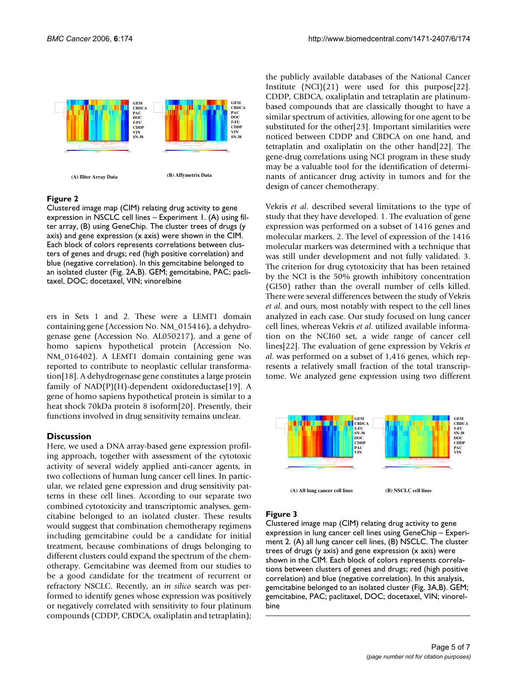

# Figure 2

Clustered image map (CIM) relating drug activity to gene expression in NSCLC cell lines – Experiment 1. (A) using filter array, (B) using GeneChip. The cluster trees of drugs (y axis) and gene expression (x axis) were shown in the CIM. Each block of colors represents correlations between clusters of genes and drugs; red (high positive correlation) and blue (negative correlation). In this gemcitabine belonged to an isolated cluster (Fig. 2A,B). GEM; gemcitabine, PAC; paclitaxel, DOC; docetaxel, VIN; vinorelbine

ers in Sets 1 and 2. These were a LEMT1 domain containing gene (Accession No. NM\_015416), a dehydrogenase gene (Accession No. AL050217), and a gene of homo sapiens hypothetical protein (Accession No. NM\_016402). A LEMT1 domain containing gene was reported to contribute to neoplastic cellular transformation[18]. A dehydrogenase gene constitutes a large protein family of  $NAD(P)(H)$ -dependent oxidoreductase[19]. A gene of homo sapiens hypothetical protein is similar to a heat shock 70kDa protein 8 isoform[20]. Presently, their functions involved in drug sensitivity remains unclear.

# **Discussion**

Here, we used a DNA array-based gene expression profiling approach, together with assessment of the cytotoxic activity of several widely applied anti-cancer agents, in two collections of human lung cancer cell lines. In particular, we related gene expression and drug sensitivity patterns in these cell lines. According to our separate two combined cytotoxicity and transcriptomic analyses, gemcitabine belonged to an isolated cluster. These results would suggest that combination chemotherapy regimens including gemcitabine could be a candidate for initial treatment, because combinations of drugs belonging to different clusters could expand the spectrum of the chemotherapy. Gemcitabine was deemed from our studies to be a good candidate for the treatment of recurrent or refractory NSCLC. Recently, an *in silico* search was performed to identify genes whose expression was positively or negatively correlated with sensitivity to four platinum compounds (CDDP, CBDCA, oxaliplatin and tetraplatin);

the publicly available databases of the National Cancer Institute (NCI)(21) were used for this purpose[22]. CDDP, CBDCA, oxaliplatin and tetraplatin are platinumbased compounds that are classically thought to have a similar spectrum of activities, allowing for one agent to be substituted for the other[23]. Important similarities were noticed between CDDP and CBDCA on one hand, and tetraplatin and oxaliplatin on the other hand[22]. The gene-drug correlations using NCI program in these study may be a valuable tool for the identification of determinants of anticancer drug activity in tumors and for the design of cancer chemotherapy.

Vekris *et al*. described several limitations to the type of study that they have developed. 1. The evaluation of gene expression was performed on a subset of 1416 genes and molecular markers. 2. The level of expression of the 1416 molecular markers was determined with a technique that was still under development and not fully validated. 3. The criterion for drug cytotoxicity that has been retained by the NCI is the 50% growth inhibitory concentration (GI50) rather than the overall number of cells killed. There were several differences between the study of Vekris *et al*. and ours, most notably with respect to the cell lines analyzed in each case. Our study focused on lung cancer cell lines, whereas Vekris *et al*. utilized available information on the NCI60 set, a wide range of cancer cell lines[22]. The evaluation of gene expression by Vekris *et al*. was performed on a subset of 1,416 genes, which represents a relatively small fraction of the total transcriptome. We analyzed gene expression using two different



### Figure 3

Clustered image map (CIM) relating drug activity to gene expression in lung cancer cell lines using GeneChip – Experiment 2. (A) all lung cancer cell lines, (B) NSCLC. The cluster trees of drugs (y axis) and gene expression (x axis) were shown in the CIM. Each block of colors represents correlations between clusters of genes and drugs; red (high positive correlation) and blue (negative correlation). In this analysis, gemcitabine belonged to an isolated cluster (Fig. 3A,B). GEM; gemcitabine, PAC; paclitaxel, DOC; docetaxel, VIN; vinorelbine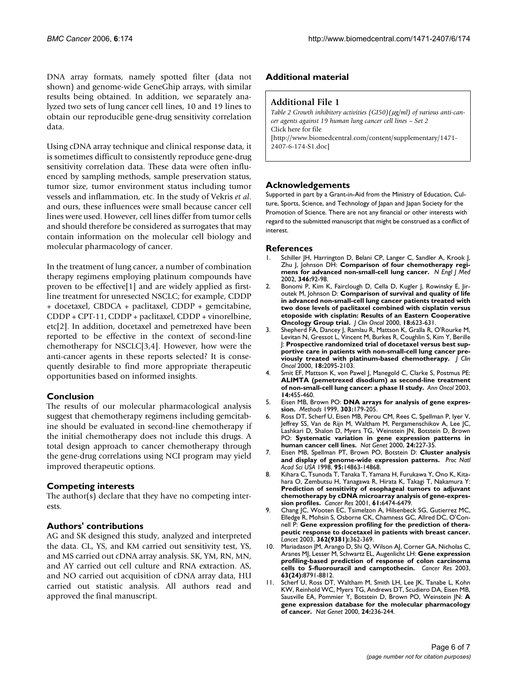DNA array formats, namely spotted filter (data not shown) and genome-wide GeneGhip arrays, with similar results being obtained. In addition, we separately analyzed two sets of lung cancer cell lines, 10 and 19 lines to obtain our reproducible gene-drug sensitivity correlation data.

Using cDNA array technique and clinical response data, it is sometimes difficult to consistently reproduce gene-drug sensitivity correlation data. These data were often influenced by sampling methods, sample preservation status, tumor size, tumor environment status including tumor vessels and inflammation, etc. In the study of Vekris *et al*. and ours, these influences were small because cancer cell lines were used. However, cell lines differ from tumor cells and should therefore be considered as surrogates that may contain information on the molecular cell biology and molecular pharmacology of cancer.

In the treatment of lung cancer, a number of combination therapy regimens employing platinum compounds have proven to be effective[1] and are widely applied as firstline treatment for unresected NSCLC; for example, CDDP + docetaxel, CBDCA + paclitaxel, CDDP + gemcitabine, CDDP + CPT-11, CDDP + paclitaxel, CDDP + vinorelbine, etc[2]. In addition, docetaxel and pemetrexed have been reported to be effective in the context of second-line chemotherapy for NSCLC[3,4]. However, how were the anti-cancer agents in these reports selected? It is consequently desirable to find more appropriate therapeutic opportunities based on informed insights.

# **Conclusion**

The results of our molecular pharmacological analysis suggest that chemotherapy regimens including gemcitabine should be evaluated in second-line chemotherapy if the initial chemotherapy does not include this drugs. A total design approach to cancer chemotherapy through the gene-drug correlations using NCI program may yield improved therapeutic options.

### **Competing interests**

The author(s) declare that they have no competing interests.

# **Authors' contributions**

AG and SK designed this study, analyzed and interpreted the data. CL, YS, and KM carried out sensitivity test, YS, and MS carried out cDNA array analysis. SK, YM, RN, MN, and AY carried out cell culture and RNA extraction. AS, and NO carried out acquisition of cDNA array data, HU carried out statistic analysis. All authors read and approved the final manuscript.

### **Additional material**

### **Additional File 1**

*Table 2 Growth inhibitory activities (GI50)(*μ*g/ml) of various anti-cancer agents against 19 human lung cancer cell lines – Set 2* Click here for file [\[http://www.biomedcentral.com/content/supplementary/1471-](http://www.biomedcentral.com/content/supplementary/1471-2407-6-174-S1.doc) 2407-6-174-S1.doc]

### **Acknowledgements**

Supported in part by a Grant-in-Aid from the Ministry of Education, Culture, Sports, Science, and Technology of Japan and Japan Society for the Promotion of Science. There are not any financial or other interests with regard to the submitted manuscript that might be construed as a conflict of interest.

### **References**

- Schiller JH, Harrington D, Belani CP, Langer C, Sandler A, Krook J, Zhu J, Johnson DH: **[Comparison of four chemotherapy regi](http://www.ncbi.nlm.nih.gov/entrez/query.fcgi?cmd=Retrieve&db=PubMed&dopt=Abstract&list_uids=11784875)[mens for advanced non-small-cell lung cancer.](http://www.ncbi.nlm.nih.gov/entrez/query.fcgi?cmd=Retrieve&db=PubMed&dopt=Abstract&list_uids=11784875)** *N Engl J Med* 2002, **346:**92-98.
- 2. Bonomi P, Kim K, Fairclough D, Cella D, Kugler J, Rowinsky E, Jiroutek M, Johnson D: **[Comparison of survival and quality of life](http://www.ncbi.nlm.nih.gov/entrez/query.fcgi?cmd=Retrieve&db=PubMed&dopt=Abstract&list_uids=10653877) [in advanced non-small-cell lung cancer patients treated with](http://www.ncbi.nlm.nih.gov/entrez/query.fcgi?cmd=Retrieve&db=PubMed&dopt=Abstract&list_uids=10653877) two dose levels of paclitaxel combined with cisplatin versus etoposide with cisplatin: Results of an Eastern Cooperative [Oncology Group trial.](http://www.ncbi.nlm.nih.gov/entrez/query.fcgi?cmd=Retrieve&db=PubMed&dopt=Abstract&list_uids=10653877)** *J Clin Oncol* 2000, **18:**623-631.
- 3. Shepherd FA, Dancey J, Ramlau R, Mattson K, Gralla R, O'Rourke M, Levitan N, Gressot L, Vincent M, Burkes R, Coughlin S, Kim Y, Berille J: **[Prospective randomized trial of docetaxel versus best sup](http://www.ncbi.nlm.nih.gov/entrez/query.fcgi?cmd=Retrieve&db=PubMed&dopt=Abstract&list_uids=10811675)[portive care in patients with non-small-cell lung cancer pre](http://www.ncbi.nlm.nih.gov/entrez/query.fcgi?cmd=Retrieve&db=PubMed&dopt=Abstract&list_uids=10811675)[viously treated with platinum-based chemotherapy.](http://www.ncbi.nlm.nih.gov/entrez/query.fcgi?cmd=Retrieve&db=PubMed&dopt=Abstract&list_uids=10811675)** *J Clin Oncol* 2000, **18:**2095-2103.
- 4. Smit EF, Mattson K, von Pawel J, Manegold C, Clarke S, Postmus PE: **[ALIMTA \(pemetrexed disodium\) as second-line treatment](http://www.ncbi.nlm.nih.gov/entrez/query.fcgi?cmd=Retrieve&db=PubMed&dopt=Abstract&list_uids=12598353) [of non-small-cell lung cancer: a phase II study.](http://www.ncbi.nlm.nih.gov/entrez/query.fcgi?cmd=Retrieve&db=PubMed&dopt=Abstract&list_uids=12598353)** *Ann Oncol* 2003, **14:**455-460.
- 5. Eisen MB, Brown PO: **DNA arrays for analysis of gene expression.** *Methods* 1999, **303:**179-205.
- 6. Ross DT, Scherf U, Eisen MB, Perou CM, Rees C, Spellman P, Iyer V, Jeffrey SS, Van de Rijn M, Waltham M, Pergamenschikov A, Lee JC, Lashkari D, Shalon D, Myers TG, Weinstein JN, Botstein D, Brown PO: **[Systematic variation in gene expression patterns in](http://www.ncbi.nlm.nih.gov/entrez/query.fcgi?cmd=Retrieve&db=PubMed&dopt=Abstract&list_uids=10700174) [human cancer cell lines.](http://www.ncbi.nlm.nih.gov/entrez/query.fcgi?cmd=Retrieve&db=PubMed&dopt=Abstract&list_uids=10700174)** *Nat Genet* 2000, **24:**227-35.
- 7. Eisen MB, Spellman PT, Brown PO, Botstein D: **[Cluster analysis](http://www.ncbi.nlm.nih.gov/entrez/query.fcgi?cmd=Retrieve&db=PubMed&dopt=Abstract&list_uids=9843981) [and display of genome-wide expression patterns.](http://www.ncbi.nlm.nih.gov/entrez/query.fcgi?cmd=Retrieve&db=PubMed&dopt=Abstract&list_uids=9843981)** *Proc Natl Acad Sci USA* 1998, **95:**14863-14868.
- 8. Kihara C, Tsunoda T, Tanaka T, Yamana H, Furukawa Y, Ono K, Kitahara O, Zembutsu H, Yanagawa R, Hirata K, Takagi T, Nakamura Y: **[Prediction of sensitivity of esophageal tumors to adjuvant](http://www.ncbi.nlm.nih.gov/entrez/query.fcgi?cmd=Retrieve&db=PubMed&dopt=Abstract&list_uids=11522643) chemotherapy by cDNA microarray analysis of gene-expres[sion profiles.](http://www.ncbi.nlm.nih.gov/entrez/query.fcgi?cmd=Retrieve&db=PubMed&dopt=Abstract&list_uids=11522643)** *Cancer Res* 2001, **61:**6474-6479.
- 9. Chang JC, Wooten EC, Tsimelzon A, Hilsenbeck SG, Gutierrez MC, Elledge R, Mohsin S, Osborne CK, Chamness GC, Allred DC, O'Connell P: **[Gene expression profiling for the prediction of thera](http://www.ncbi.nlm.nih.gov/entrez/query.fcgi?cmd=Retrieve&db=PubMed&dopt=Abstract&list_uids=12907009)[peutic response to docetaxel in patients with breast cancer.](http://www.ncbi.nlm.nih.gov/entrez/query.fcgi?cmd=Retrieve&db=PubMed&dopt=Abstract&list_uids=12907009)** *Lancet* 2003, **362(9381):**362-369.
- 10. Mariadason JM, Arango D, Shi Q, Wilson AJ, Corner GA, Nicholas C, Aranes MJ, Lesser M, Schwartz EL, Augenlicht LH: **[Gene expression](http://www.ncbi.nlm.nih.gov/entrez/query.fcgi?cmd=Retrieve&db=PubMed&dopt=Abstract&list_uids=14695196) [profiling-based prediction of response of colon carcinoma](http://www.ncbi.nlm.nih.gov/entrez/query.fcgi?cmd=Retrieve&db=PubMed&dopt=Abstract&list_uids=14695196) [cells to 5-fluorouracil and camptothecin.](http://www.ncbi.nlm.nih.gov/entrez/query.fcgi?cmd=Retrieve&db=PubMed&dopt=Abstract&list_uids=14695196)** *Cancer Res* 2003, **63(24):**8791-8812.
- 11. Scherf U, Ross DT, Waltham M, Smith LH, Lee JK, Tanabe L, Kohn KW, Reinhold WC, Myers TG, Andrews DT, Scudiero DA, Eisen MB, Sausville EA, Pommier Y, Botstein D, Brown PO, Weinstein JN: **[A](http://www.ncbi.nlm.nih.gov/entrez/query.fcgi?cmd=Retrieve&db=PubMed&dopt=Abstract&list_uids=10700175) [gene expression database for the molecular pharmacology](http://www.ncbi.nlm.nih.gov/entrez/query.fcgi?cmd=Retrieve&db=PubMed&dopt=Abstract&list_uids=10700175) [of cancer.](http://www.ncbi.nlm.nih.gov/entrez/query.fcgi?cmd=Retrieve&db=PubMed&dopt=Abstract&list_uids=10700175)** *Nat Genet* 2000, **24:**236-244.